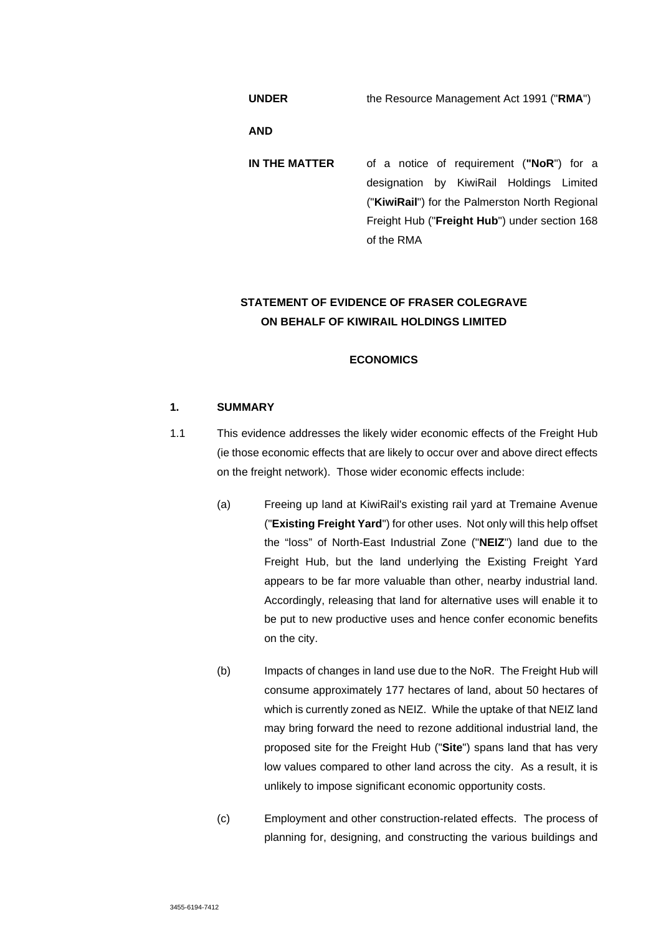**UNDER** the Resource Management Act 1991 ("**RMA**")

**AND** 

**IN THE MATTER** of a notice of requirement (**"NoR**") for a designation by KiwiRail Holdings Limited ("**KiwiRail**") for the Palmerston North Regional Freight Hub ("**Freight Hub**") under section 168 of the RMA

# **STATEMENT OF EVIDENCE OF FRASER COLEGRAVE ON BEHALF OF KIWIRAIL HOLDINGS LIMITED**

# **ECONOMICS**

# **1. SUMMARY**

- 1.1 This evidence addresses the likely wider economic effects of the Freight Hub (ie those economic effects that are likely to occur over and above direct effects on the freight network). Those wider economic effects include:
	- (a) Freeing up land at KiwiRail's existing rail yard at Tremaine Avenue ("**Existing Freight Yard**") for other uses. Not only will this help offset the "loss" of North-East Industrial Zone ("**NEIZ**") land due to the Freight Hub, but the land underlying the Existing Freight Yard appears to be far more valuable than other, nearby industrial land. Accordingly, releasing that land for alternative uses will enable it to be put to new productive uses and hence confer economic benefits on the city.
	- (b) Impacts of changes in land use due to the NoR. The Freight Hub will consume approximately 177 hectares of land, about 50 hectares of which is currently zoned as NEIZ. While the uptake of that NEIZ land may bring forward the need to rezone additional industrial land, the proposed site for the Freight Hub ("**Site**") spans land that has very low values compared to other land across the city. As a result, it is unlikely to impose significant economic opportunity costs.
	- (c) Employment and other construction-related effects. The process of planning for, designing, and constructing the various buildings and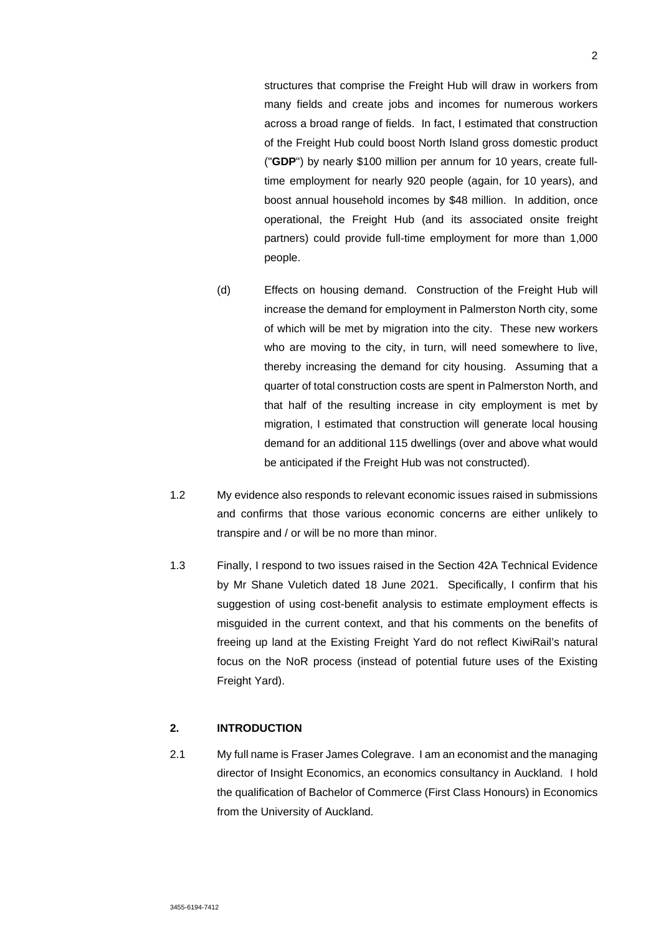structures that comprise the Freight Hub will draw in workers from many fields and create jobs and incomes for numerous workers across a broad range of fields. In fact, I estimated that construction of the Freight Hub could boost North Island gross domestic product ("**GDP**") by nearly \$100 million per annum for 10 years, create fulltime employment for nearly 920 people (again, for 10 years), and boost annual household incomes by \$48 million. In addition, once operational, the Freight Hub (and its associated onsite freight partners) could provide full-time employment for more than 1,000 people.

- (d) Effects on housing demand. Construction of the Freight Hub will increase the demand for employment in Palmerston North city, some of which will be met by migration into the city. These new workers who are moving to the city, in turn, will need somewhere to live, thereby increasing the demand for city housing. Assuming that a quarter of total construction costs are spent in Palmerston North, and that half of the resulting increase in city employment is met by migration, I estimated that construction will generate local housing demand for an additional 115 dwellings (over and above what would be anticipated if the Freight Hub was not constructed).
- 1.2 My evidence also responds to relevant economic issues raised in submissions and confirms that those various economic concerns are either unlikely to transpire and / or will be no more than minor.
- 1.3 Finally, I respond to two issues raised in the Section 42A Technical Evidence by Mr Shane Vuletich dated 18 June 2021. Specifically, I confirm that his suggestion of using cost-benefit analysis to estimate employment effects is misguided in the current context, and that his comments on the benefits of freeing up land at the Existing Freight Yard do not reflect KiwiRail's natural focus on the NoR process (instead of potential future uses of the Existing Freight Yard).

# **2. INTRODUCTION**

2.1 My full name is Fraser James Colegrave. I am an economist and the managing director of Insight Economics, an economics consultancy in Auckland. I hold the qualification of Bachelor of Commerce (First Class Honours) in Economics from the University of Auckland.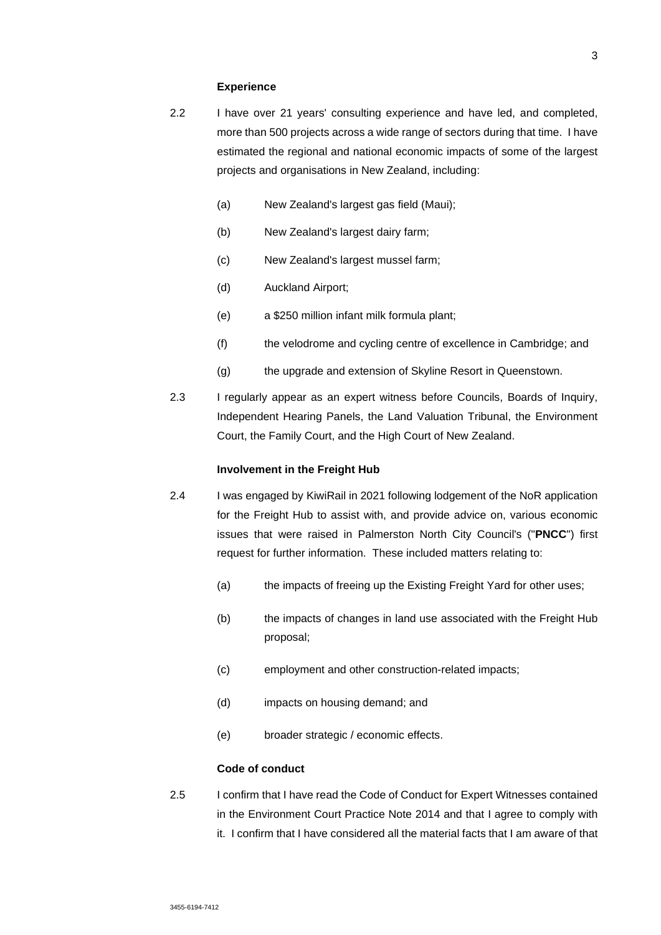#### **Experience**

- 2.2 I have over 21 years' consulting experience and have led, and completed, more than 500 projects across a wide range of sectors during that time. I have estimated the regional and national economic impacts of some of the largest projects and organisations in New Zealand, including:
	- (a) New Zealand's largest gas field (Maui);
	- (b) New Zealand's largest dairy farm;
	- (c) New Zealand's largest mussel farm;
	- (d) Auckland Airport;
	- (e) a \$250 million infant milk formula plant;
	- (f) the velodrome and cycling centre of excellence in Cambridge; and
	- (g) the upgrade and extension of Skyline Resort in Queenstown.
- 2.3 I regularly appear as an expert witness before Councils, Boards of Inquiry, Independent Hearing Panels, the Land Valuation Tribunal, the Environment Court, the Family Court, and the High Court of New Zealand.

#### **Involvement in the Freight Hub**

- 2.4 I was engaged by KiwiRail in 2021 following lodgement of the NoR application for the Freight Hub to assist with, and provide advice on, various economic issues that were raised in Palmerston North City Council's ("**PNCC**") first request for further information. These included matters relating to:
	- (a) the impacts of freeing up the Existing Freight Yard for other uses;
	- (b) the impacts of changes in land use associated with the Freight Hub proposal;
	- (c) employment and other construction-related impacts;
	- (d) impacts on housing demand; and
	- (e) broader strategic / economic effects.

# **Code of conduct**

2.5 I confirm that I have read the Code of Conduct for Expert Witnesses contained in the Environment Court Practice Note 2014 and that I agree to comply with it. I confirm that I have considered all the material facts that I am aware of that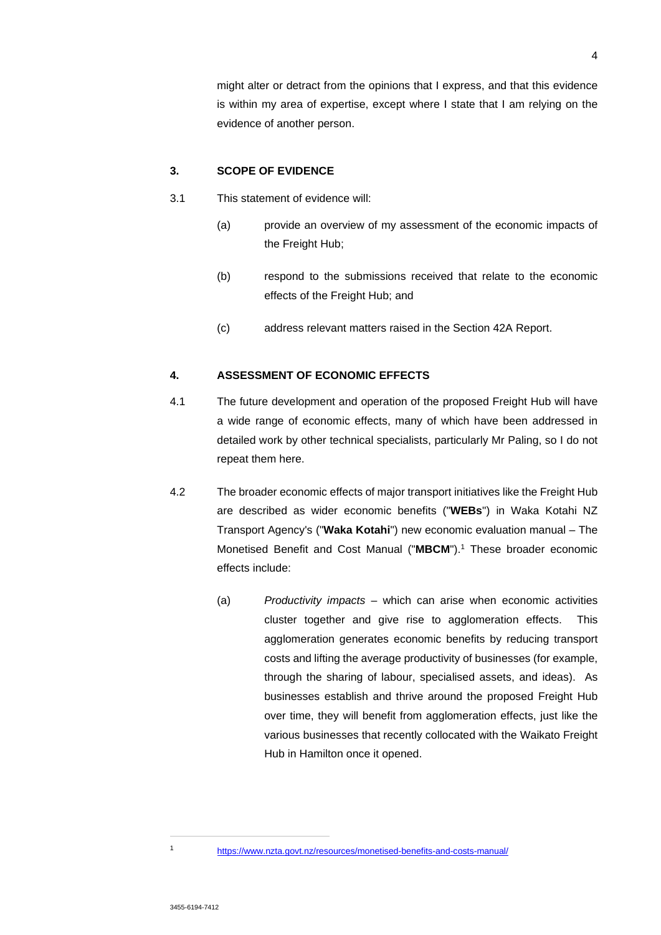might alter or detract from the opinions that I express, and that this evidence is within my area of expertise, except where I state that I am relying on the evidence of another person.

#### **3. SCOPE OF EVIDENCE**

- 3.1 This statement of evidence will:
	- (a) provide an overview of my assessment of the economic impacts of the Freight Hub;
	- (b) respond to the submissions received that relate to the economic effects of the Freight Hub; and
	- (c) address relevant matters raised in the Section 42A Report.

# **4. ASSESSMENT OF ECONOMIC EFFECTS**

- 4.1 The future development and operation of the proposed Freight Hub will have a wide range of economic effects, many of which have been addressed in detailed work by other technical specialists, particularly Mr Paling, so I do not repeat them here.
- 4.2 The broader economic effects of major transport initiatives like the Freight Hub are described as wider economic benefits ("**WEBs**") in Waka Kotahi NZ Transport Agency's ("**Waka Kotahi**") new economic evaluation manual – The Monetised Benefit and Cost Manual ("MBCM").<sup>1</sup> These broader economic effects include:
	- (a) *Productivity impacts* which can arise when economic activities cluster together and give rise to agglomeration effects. This agglomeration generates economic benefits by reducing transport costs and lifting the average productivity of businesses (for example, through the sharing of labour, specialised assets, and ideas). As businesses establish and thrive around the proposed Freight Hub over time, they will benefit from agglomeration effects, just like the various businesses that recently collocated with the Waikato Freight Hub in Hamilton once it opened.

<sup>1</sup> https://www.nzta.govt.nz/resources/monetised-benefits-and-costs-manual/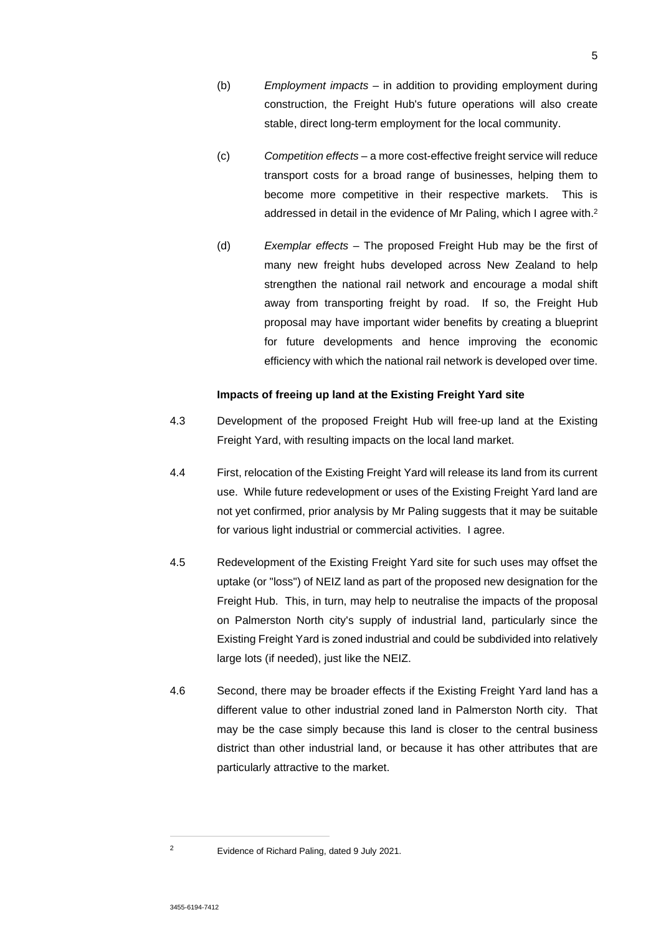- (b) *Employment impacts* in addition to providing employment during construction, the Freight Hub's future operations will also create stable, direct long-term employment for the local community.
- (c) *Competition effects* a more cost-effective freight service will reduce transport costs for a broad range of businesses, helping them to become more competitive in their respective markets. This is addressed in detail in the evidence of Mr Paling, which I agree with.<sup>2</sup>
- (d) *Exemplar effects* The proposed Freight Hub may be the first of many new freight hubs developed across New Zealand to help strengthen the national rail network and encourage a modal shift away from transporting freight by road. If so, the Freight Hub proposal may have important wider benefits by creating a blueprint for future developments and hence improving the economic efficiency with which the national rail network is developed over time.

#### **Impacts of freeing up land at the Existing Freight Yard site**

- 4.3 Development of the proposed Freight Hub will free-up land at the Existing Freight Yard, with resulting impacts on the local land market.
- 4.4 First, relocation of the Existing Freight Yard will release its land from its current use. While future redevelopment or uses of the Existing Freight Yard land are not yet confirmed, prior analysis by Mr Paling suggests that it may be suitable for various light industrial or commercial activities. I agree.
- 4.5 Redevelopment of the Existing Freight Yard site for such uses may offset the uptake (or "loss") of NEIZ land as part of the proposed new designation for the Freight Hub. This, in turn, may help to neutralise the impacts of the proposal on Palmerston North city's supply of industrial land, particularly since the Existing Freight Yard is zoned industrial and could be subdivided into relatively large lots (if needed), just like the NEIZ.
- 4.6 Second, there may be broader effects if the Existing Freight Yard land has a different value to other industrial zoned land in Palmerston North city. That may be the case simply because this land is closer to the central business district than other industrial land, or because it has other attributes that are particularly attractive to the market.

<sup>2</sup> Evidence of Richard Paling, dated 9 July 2021.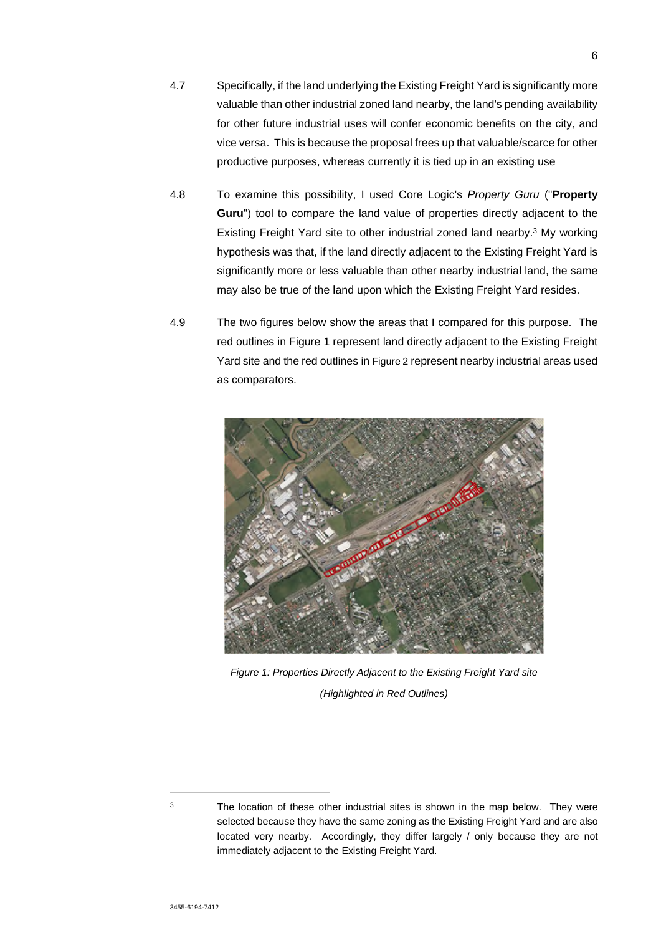- 4.7 Specifically, if the land underlying the Existing Freight Yard is significantly more valuable than other industrial zoned land nearby, the land's pending availability for other future industrial uses will confer economic benefits on the city, and vice versa. This is because the proposal frees up that valuable/scarce for other productive purposes, whereas currently it is tied up in an existing use
- 4.8 To examine this possibility, I used Core Logic's *Property Guru* ("**Property Guru**") tool to compare the land value of properties directly adjacent to the Existing Freight Yard site to other industrial zoned land nearby.<sup>3</sup> My working hypothesis was that, if the land directly adjacent to the Existing Freight Yard is significantly more or less valuable than other nearby industrial land, the same may also be true of the land upon which the Existing Freight Yard resides.
- 4.9 The two figures below show the areas that I compared for this purpose. The red outlines in Figure 1 represent land directly adjacent to the Existing Freight Yard site and the red outlines in Figure 2 represent nearby industrial areas used as comparators.



*Figure 1: Properties Directly Adjacent to the Existing Freight Yard site (Highlighted in Red Outlines)* 

<sup>&</sup>lt;sup>3</sup> The location of these other industrial sites is shown in the map below. They were selected because they have the same zoning as the Existing Freight Yard and are also located very nearby. Accordingly, they differ largely / only because they are not immediately adjacent to the Existing Freight Yard.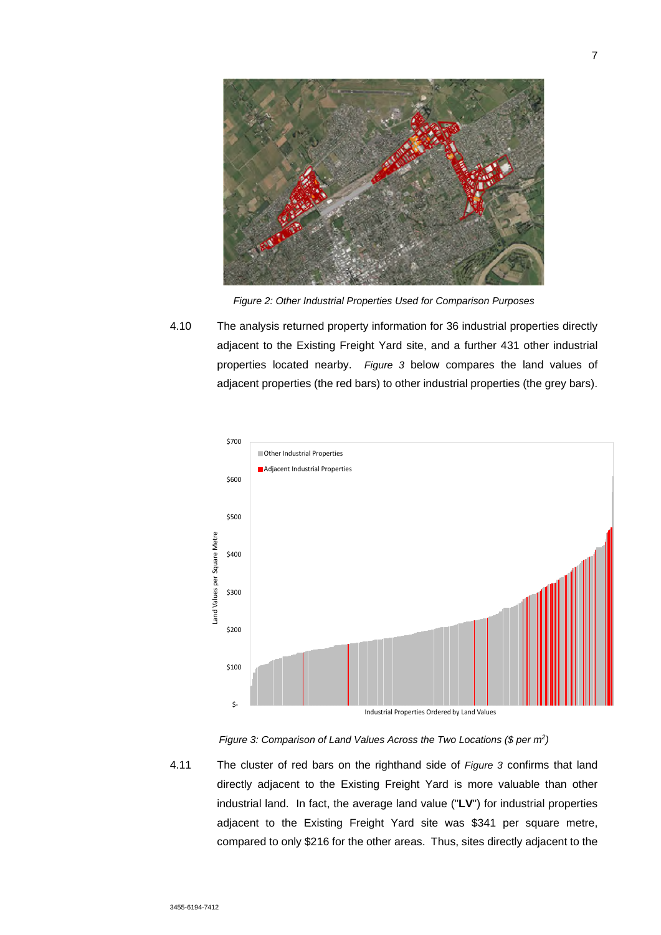

*Figure 2: Other Industrial Properties Used for Comparison Purposes* 

4.10 The analysis returned property information for 36 industrial properties directly adjacent to the Existing Freight Yard site, and a further 431 other industrial properties located nearby. *Figure 3* below compares the land values of adjacent properties (the red bars) to other industrial properties (the grey bars).





4.11 The cluster of red bars on the righthand side of *Figure 3* confirms that land directly adjacent to the Existing Freight Yard is more valuable than other industrial land. In fact, the average land value ("**LV**") for industrial properties adjacent to the Existing Freight Yard site was \$341 per square metre, compared to only \$216 for the other areas. Thus, sites directly adjacent to the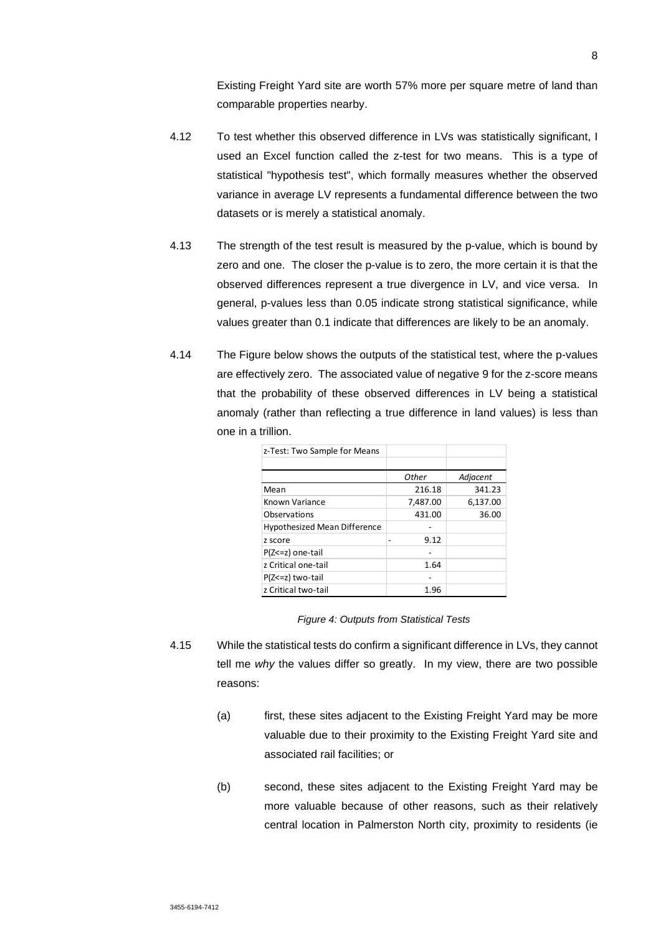Existing Freight Yard site are worth 57% more per square metre of land than comparable properties nearby.

- 4.12 To test whether this observed difference in LVs was statistically significant, I used an Excel function called the z-test for two means. This is a type of statistical "hypothesis test", which formally measures whether the observed variance in average LV represents a fundamental difference between the two datasets or is merely a statistical anomaly.
- 4.13 The strength of the test result is measured by the p-value, which is bound by zero and one. The closer the p-value is to zero, the more certain it is that the observed differences represent a true divergence in LV, and vice versa. In general, p-values less than 0.05 indicate strong statistical significance, while values greater than 0.1 indicate that differences are likely to be an anomaly.
- 4.14 The Figure below shows the outputs of the statistical test, where the p-values are effectively zero. The associated value of negative 9 for the z-score means that the probability of these observed differences in LV being a statistical anomaly (rather than reflecting a true difference in land values) is less than one in a trillion.

| z-Test: Two Sample for Means        |          |          |
|-------------------------------------|----------|----------|
|                                     |          |          |
|                                     | Other    | Adjacent |
| Mean                                | 216.18   | 341.23   |
| Known Variance                      | 7,487.00 | 6,137.00 |
| Observations                        | 431.00   | 36.00    |
| <b>Hypothesized Mean Difference</b> |          |          |
| z score                             | 9.12     |          |
| $P(Z \le z)$ one-tail               |          |          |
| z Critical one-tail                 | 1.64     |          |
| P(Z<=z) two-tail                    |          |          |
| z Critical two-tail                 | 1.96     |          |

*Figure 4: Outputs from Statistical Tests* 

- 4.15 While the statistical tests do confirm a significant difference in LVs, they cannot tell me *why* the values differ so greatly. In my view, there are two possible reasons:
	- (a) first, these sites adjacent to the Existing Freight Yard may be more valuable due to their proximity to the Existing Freight Yard site and associated rail facilities; or
	- (b) second, these sites adjacent to the Existing Freight Yard may be more valuable because of other reasons, such as their relatively central location in Palmerston North city, proximity to residents (ie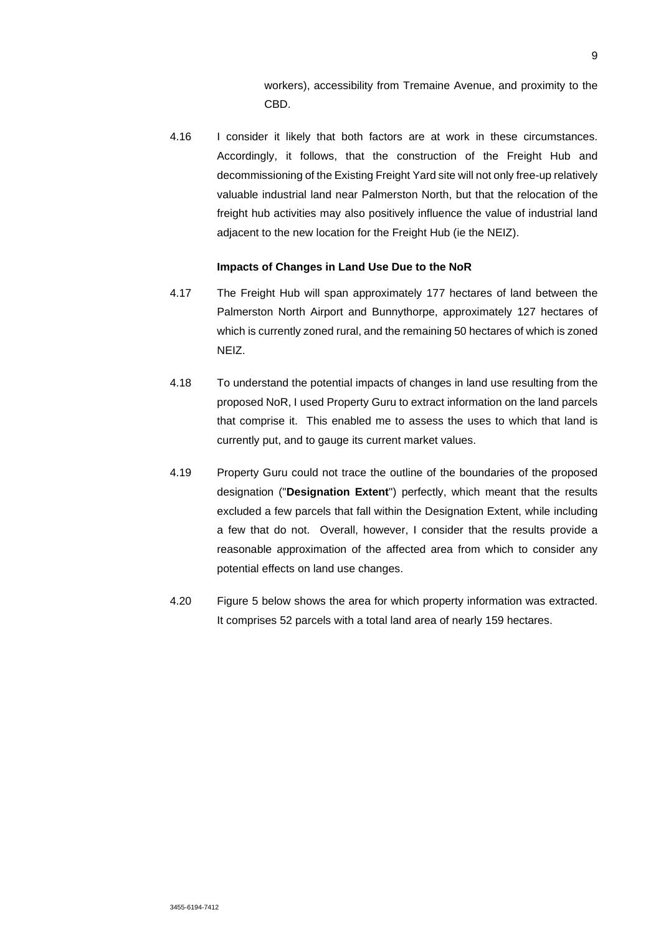workers), accessibility from Tremaine Avenue, and proximity to the CBD.

4.16 I consider it likely that both factors are at work in these circumstances. Accordingly, it follows, that the construction of the Freight Hub and decommissioning of the Existing Freight Yard site will not only free-up relatively valuable industrial land near Palmerston North, but that the relocation of the freight hub activities may also positively influence the value of industrial land adjacent to the new location for the Freight Hub (ie the NEIZ).

#### **Impacts of Changes in Land Use Due to the NoR**

- 4.17 The Freight Hub will span approximately 177 hectares of land between the Palmerston North Airport and Bunnythorpe, approximately 127 hectares of which is currently zoned rural, and the remaining 50 hectares of which is zoned NEIZ.
- 4.18 To understand the potential impacts of changes in land use resulting from the proposed NoR, I used Property Guru to extract information on the land parcels that comprise it. This enabled me to assess the uses to which that land is currently put, and to gauge its current market values.
- 4.19 Property Guru could not trace the outline of the boundaries of the proposed designation ("**Designation Extent**") perfectly, which meant that the results excluded a few parcels that fall within the Designation Extent, while including a few that do not. Overall, however, I consider that the results provide a reasonable approximation of the affected area from which to consider any potential effects on land use changes.
- 4.20 Figure 5 below shows the area for which property information was extracted. It comprises 52 parcels with a total land area of nearly 159 hectares.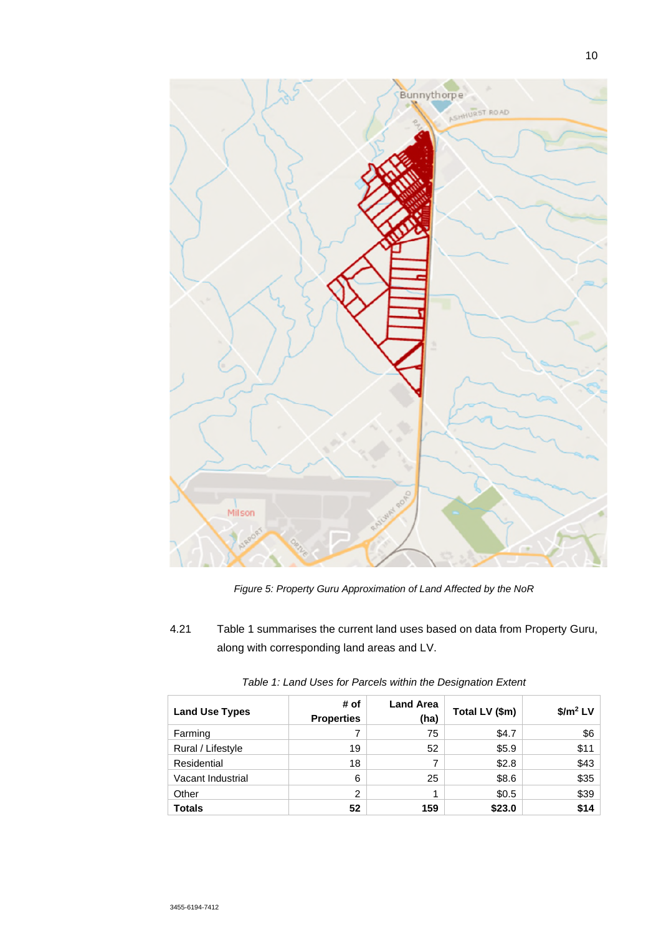

*Figure 5: Property Guru Approximation of Land Affected by the NoR*

4.21 Table 1 summarises the current land uses based on data from Property Guru, along with corresponding land areas and LV.

| <b>Land Use Types</b> | # of<br><b>Properties</b> | <b>Land Area</b><br>(ha) | Total LV (\$m) | $$/m2$ LV |
|-----------------------|---------------------------|--------------------------|----------------|-----------|
| Farming               |                           | 75                       | \$4.7          | \$6       |
| Rural / Lifestyle     | 19                        | 52                       | \$5.9          | \$11      |
| Residential           | 18                        |                          | \$2.8          | \$43      |
| Vacant Industrial     | 6                         | 25                       | \$8.6          | \$35      |
| Other                 | $\overline{2}$            |                          | \$0.5          | \$39      |
| <b>Totals</b>         | 52                        | 159                      | \$23.0         | \$14      |

| Table 1: Land Uses for Parcels within the Designation Extent |  |  |
|--------------------------------------------------------------|--|--|
|                                                              |  |  |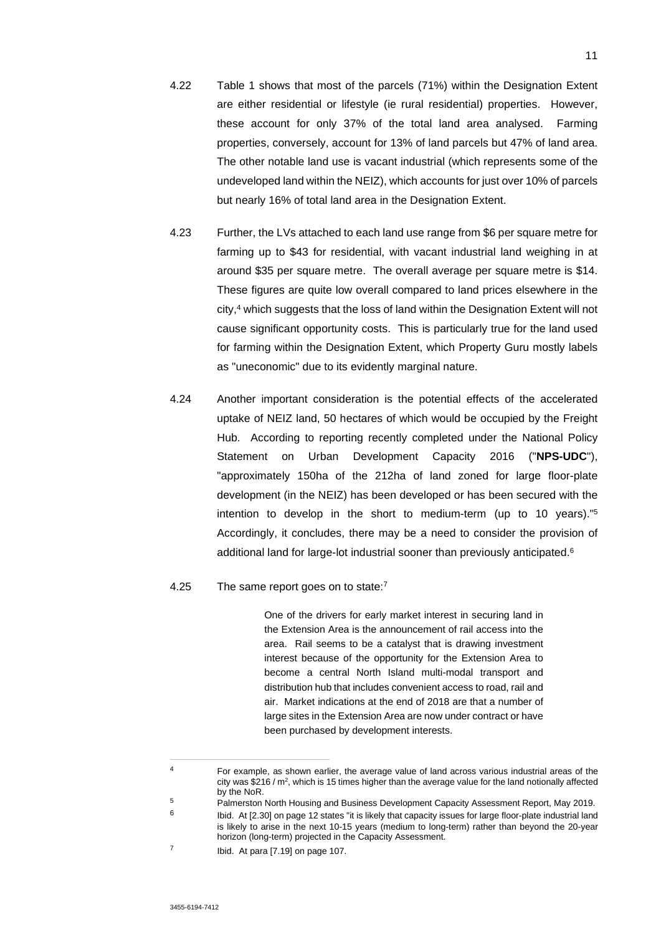- 4.22 Table 1 shows that most of the parcels (71%) within the Designation Extent are either residential or lifestyle (ie rural residential) properties. However, these account for only 37% of the total land area analysed. Farming properties, conversely, account for 13% of land parcels but 47% of land area. The other notable land use is vacant industrial (which represents some of the undeveloped land within the NEIZ), which accounts for just over 10% of parcels but nearly 16% of total land area in the Designation Extent.
- 4.23 Further, the LVs attached to each land use range from \$6 per square metre for farming up to \$43 for residential, with vacant industrial land weighing in at around \$35 per square metre. The overall average per square metre is \$14. These figures are quite low overall compared to land prices elsewhere in the city,<sup>4</sup> which suggests that the loss of land within the Designation Extent will not cause significant opportunity costs. This is particularly true for the land used for farming within the Designation Extent, which Property Guru mostly labels as "uneconomic" due to its evidently marginal nature.
- 4.24 Another important consideration is the potential effects of the accelerated uptake of NEIZ land, 50 hectares of which would be occupied by the Freight Hub. According to reporting recently completed under the National Policy Statement on Urban Development Capacity 2016 ("**NPS-UDC**"), "approximately 150ha of the 212ha of land zoned for large floor-plate development (in the NEIZ) has been developed or has been secured with the intention to develop in the short to medium-term (up to 10 years)."<sup>5</sup> Accordingly, it concludes, there may be a need to consider the provision of additional land for large-lot industrial sooner than previously anticipated.<sup>6</sup>

### 4.25 The same report goes on to state:<sup>7</sup>

One of the drivers for early market interest in securing land in the Extension Area is the announcement of rail access into the area. Rail seems to be a catalyst that is drawing investment interest because of the opportunity for the Extension Area to become a central North Island multi-modal transport and distribution hub that includes convenient access to road, rail and air. Market indications at the end of 2018 are that a number of large sites in the Extension Area are now under contract or have been purchased by development interests.

<sup>4</sup> For example, as shown earlier, the average value of land across various industrial areas of the city was \$216 /  $m^2$ , which is 15 times higher than the average value for the land notionally affected by the NoR.

<sup>&</sup>lt;sup>5</sup> Palmerston North Housing and Business Development Capacity Assessment Report, May 2019.

<sup>6</sup> Ibid. At [2.30] on page 12 states "it is likely that capacity issues for large floor-plate industrial land is likely to arise in the next 10-15 years (medium to long-term) rather than beyond the 20-year horizon (long-term) projected in the Capacity Assessment.

<sup>7</sup> Ibid. At para [7.19] on page 107.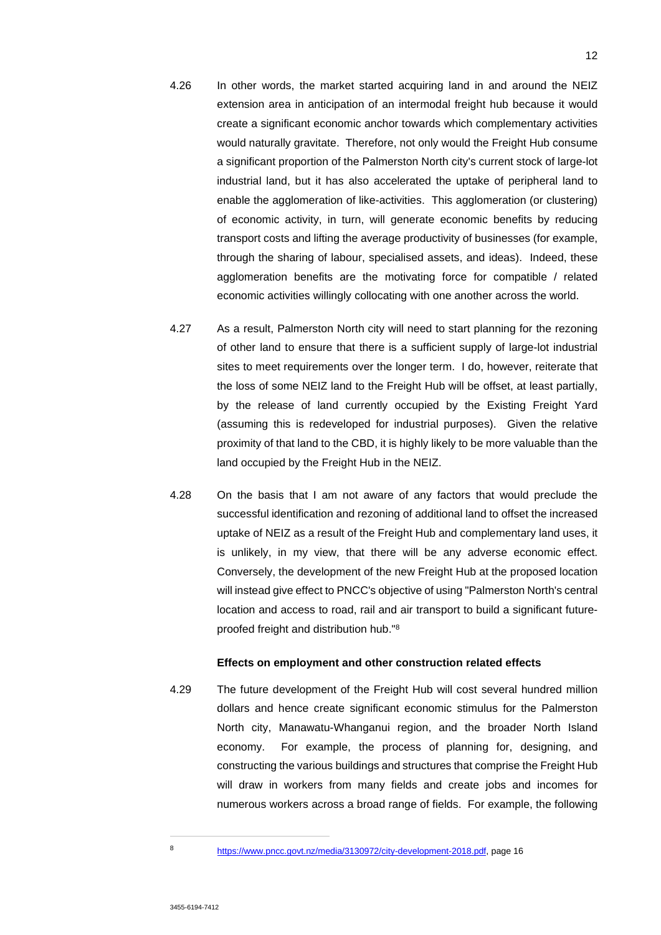- 4.26 In other words, the market started acquiring land in and around the NEIZ extension area in anticipation of an intermodal freight hub because it would create a significant economic anchor towards which complementary activities would naturally gravitate. Therefore, not only would the Freight Hub consume a significant proportion of the Palmerston North city's current stock of large-lot industrial land, but it has also accelerated the uptake of peripheral land to enable the agglomeration of like-activities. This agglomeration (or clustering) of economic activity, in turn, will generate economic benefits by reducing transport costs and lifting the average productivity of businesses (for example, through the sharing of labour, specialised assets, and ideas). Indeed, these agglomeration benefits are the motivating force for compatible / related economic activities willingly collocating with one another across the world.
- 4.27 As a result, Palmerston North city will need to start planning for the rezoning of other land to ensure that there is a sufficient supply of large-lot industrial sites to meet requirements over the longer term. I do, however, reiterate that the loss of some NEIZ land to the Freight Hub will be offset, at least partially, by the release of land currently occupied by the Existing Freight Yard (assuming this is redeveloped for industrial purposes). Given the relative proximity of that land to the CBD, it is highly likely to be more valuable than the land occupied by the Freight Hub in the NEIZ.
- 4.28 On the basis that I am not aware of any factors that would preclude the successful identification and rezoning of additional land to offset the increased uptake of NEIZ as a result of the Freight Hub and complementary land uses, it is unlikely, in my view, that there will be any adverse economic effect. Conversely, the development of the new Freight Hub at the proposed location will instead give effect to PNCC's objective of using "Palmerston North's central location and access to road, rail and air transport to build a significant futureproofed freight and distribution hub."<sup>8</sup>

#### **Effects on employment and other construction related effects**

4.29 The future development of the Freight Hub will cost several hundred million dollars and hence create significant economic stimulus for the Palmerston North city, Manawatu-Whanganui region, and the broader North Island economy. For example, the process of planning for, designing, and constructing the various buildings and structures that comprise the Freight Hub will draw in workers from many fields and create jobs and incomes for numerous workers across a broad range of fields. For example, the following

<sup>8</sup> https://www.pncc.govt.nz/media/3130972/city-development-2018.pdf, page 16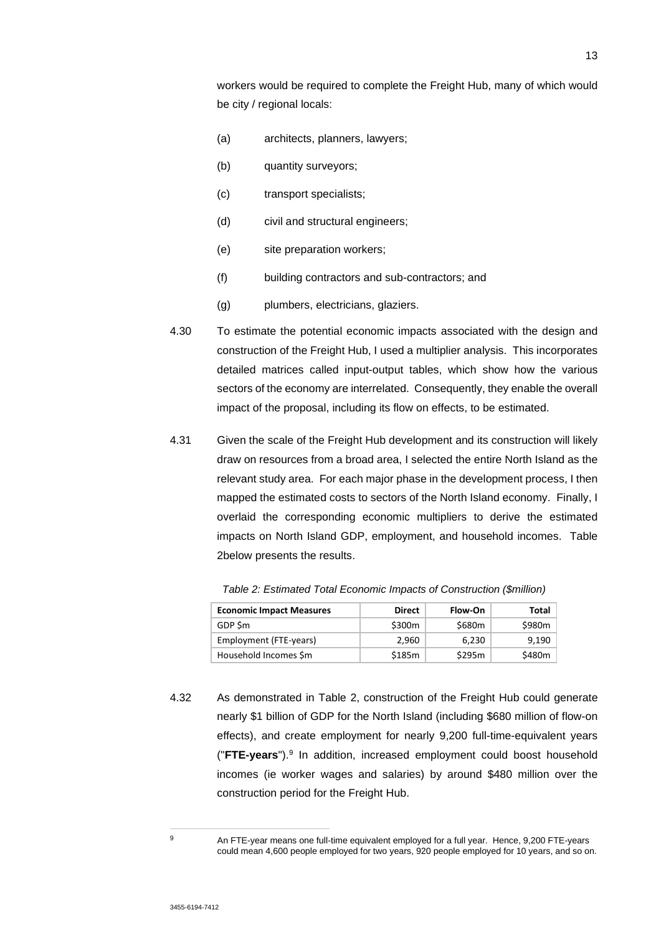workers would be required to complete the Freight Hub, many of which would be city / regional locals:

- (a) architects, planners, lawyers;
- (b) quantity surveyors:
- (c) transport specialists;
- (d) civil and structural engineers;
- (e) site preparation workers;
- (f) building contractors and sub-contractors; and
- (g) plumbers, electricians, glaziers.
- 4.30 To estimate the potential economic impacts associated with the design and construction of the Freight Hub, I used a multiplier analysis. This incorporates detailed matrices called input-output tables, which show how the various sectors of the economy are interrelated. Consequently, they enable the overall impact of the proposal, including its flow on effects, to be estimated.
- 4.31 Given the scale of the Freight Hub development and its construction will likely draw on resources from a broad area, I selected the entire North Island as the relevant study area. For each major phase in the development process, I then mapped the estimated costs to sectors of the North Island economy. Finally, I overlaid the corresponding economic multipliers to derive the estimated impacts on North Island GDP, employment, and household incomes. Table 2below presents the results.

| <b>Economic Impact Measures</b> | <b>Direct</b> | Flow-On | Total  |
|---------------------------------|---------------|---------|--------|
| GDP Sm                          | \$300m        | \$680m  | \$980m |
| Employment (FTE-years)          | 2.960         | 6.230   | 9.190  |
| Household Incomes \$m           | \$185m        | \$295m  | \$480m |

*Table 2: Estimated Total Economic Impacts of Construction (\$million)*

4.32 As demonstrated in Table 2, construction of the Freight Hub could generate nearly \$1 billion of GDP for the North Island (including \$680 million of flow-on effects), and create employment for nearly 9,200 full-time-equivalent years ("**FTE-years**").<sup>9</sup> In addition, increased employment could boost household incomes (ie worker wages and salaries) by around \$480 million over the construction period for the Freight Hub.

<sup>9</sup> An FTE-year means one full-time equivalent employed for a full year. Hence, 9,200 FTE-years could mean 4,600 people employed for two years, 920 people employed for 10 years, and so on.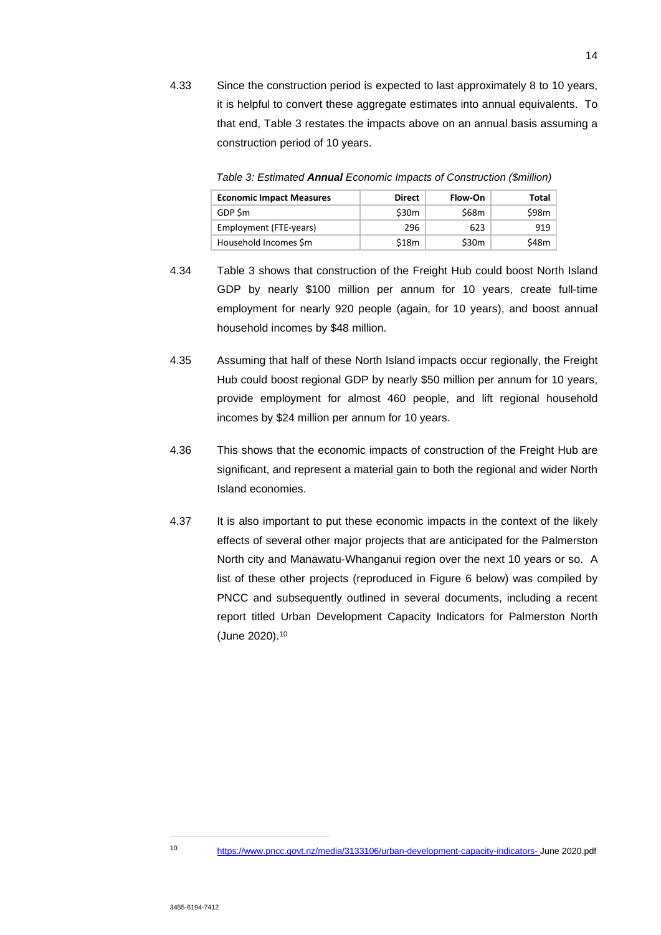4.33 Since the construction period is expected to last approximately 8 to 10 years, it is helpful to convert these aggregate estimates into annual equivalents. To that end, Table 3 restates the impacts above on an annual basis assuming a construction period of 10 years.

*Table 3: Estimated Annual Economic Impacts of Construction (\$million)*

| <b>Economic Impact Measures</b> | <b>Direct</b>     | Flow-On           | Total |
|---------------------------------|-------------------|-------------------|-------|
| GDP Sm                          | \$30 <sub>m</sub> | \$68m             | \$98m |
| Employment (FTE-years)          | 296               | 623               | 919   |
| Household Incomes \$m           | \$18m             | \$30 <sub>m</sub> | \$48m |

- 4.34 Table 3 shows that construction of the Freight Hub could boost North Island GDP by nearly \$100 million per annum for 10 years, create full-time employment for nearly 920 people (again, for 10 years), and boost annual household incomes by \$48 million.
- 4.35 Assuming that half of these North Island impacts occur regionally, the Freight Hub could boost regional GDP by nearly \$50 million per annum for 10 years, provide employment for almost 460 people, and lift regional household incomes by \$24 million per annum for 10 years.
- 4.36 This shows that the economic impacts of construction of the Freight Hub are significant, and represent a material gain to both the regional and wider North Island economies.
- 4.37 It is also important to put these economic impacts in the context of the likely effects of several other major projects that are anticipated for the Palmerston North city and Manawatu-Whanganui region over the next 10 years or so. A list of these other projects (reproduced in Figure 6 below) was compiled by PNCC and subsequently outlined in several documents, including a recent report titled Urban Development Capacity Indicators for Palmerston North (June 2020).<sup>10</sup>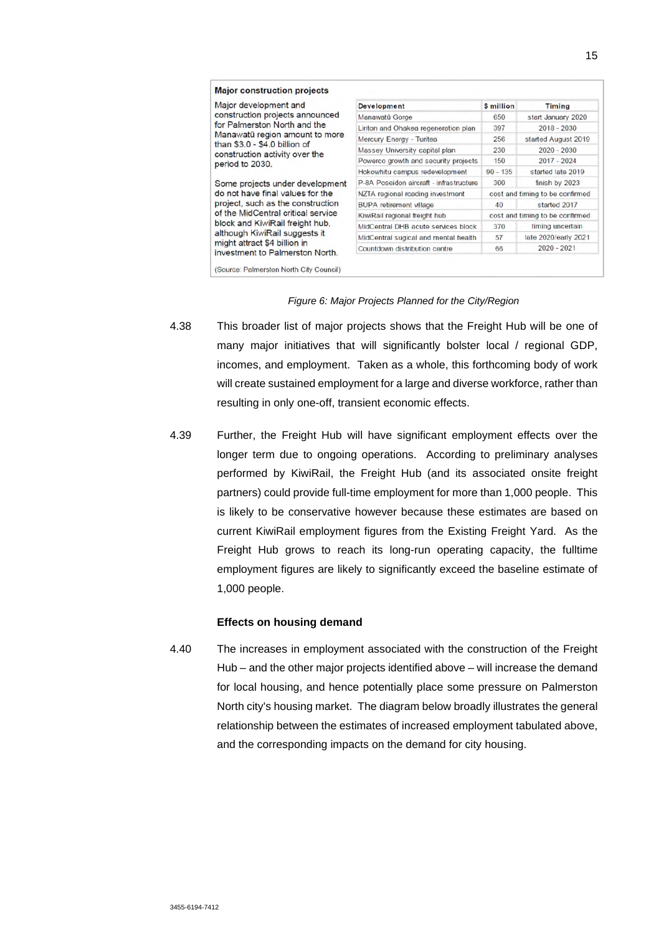| Major development and<br>construction projects announced                                                                                                                                                                                                                              | <b>Development</b>                      | \$ million                      | <b>Timing</b>        |  |
|---------------------------------------------------------------------------------------------------------------------------------------------------------------------------------------------------------------------------------------------------------------------------------------|-----------------------------------------|---------------------------------|----------------------|--|
|                                                                                                                                                                                                                                                                                       | Manawatū Gorge                          | 650                             | start January 2020   |  |
| for Palmerston North and the                                                                                                                                                                                                                                                          | Linton and Ohakea regeneration plan     | 397                             | $2018 - 2030$        |  |
| Manawatū region amount to more<br>than \$3.0 - \$4.0 billion of                                                                                                                                                                                                                       | Mercury Energy - Turitea                | 256                             | started August 2019  |  |
| construction activity over the                                                                                                                                                                                                                                                        | Massey University capital plan          | 230                             | $2020 - 2030$        |  |
| period to 2030.                                                                                                                                                                                                                                                                       | Powerco growth and security projects    | 150                             | $2017 - 2024$        |  |
|                                                                                                                                                                                                                                                                                       | Hokowhitu campus redevelopment          | $90 - 135$                      | started late 2019    |  |
| Some projects under development<br>do not have final values for the<br>project, such as the construction<br>of the MidCentral critical service<br>block and KiwiRail freight hub.<br>although KiwiRail suggests it<br>might attract \$4 billion in<br>investment to Palmerston North. | P-8A Poseidon aircraft - infrastructure | 300                             | finish by 2023       |  |
|                                                                                                                                                                                                                                                                                       | NZTA regional roading investment        | cost and timing to be confirmed |                      |  |
|                                                                                                                                                                                                                                                                                       | <b>BUPA</b> retirement village          | 40                              | started 2017         |  |
|                                                                                                                                                                                                                                                                                       | KiwiRail regional freight hub           | cost and timing to be confirmed |                      |  |
|                                                                                                                                                                                                                                                                                       | MidCentral DHB acute services block     | 370                             | timing uncertain     |  |
|                                                                                                                                                                                                                                                                                       | MidCentral sugical and mental health    | 57                              | late 2020/early 2021 |  |
|                                                                                                                                                                                                                                                                                       | Countdown distribution centre           | 66                              | $2020 - 2021$        |  |

#### *Figure 6: Major Projects Planned for the City/Region*

- 4.38 This broader list of major projects shows that the Freight Hub will be one of many major initiatives that will significantly bolster local / regional GDP, incomes, and employment. Taken as a whole, this forthcoming body of work will create sustained employment for a large and diverse workforce, rather than resulting in only one-off, transient economic effects.
- 4.39 Further, the Freight Hub will have significant employment effects over the longer term due to ongoing operations. According to preliminary analyses performed by KiwiRail, the Freight Hub (and its associated onsite freight partners) could provide full-time employment for more than 1,000 people. This is likely to be conservative however because these estimates are based on current KiwiRail employment figures from the Existing Freight Yard. As the Freight Hub grows to reach its long-run operating capacity, the fulltime employment figures are likely to significantly exceed the baseline estimate of 1,000 people.

#### **Effects on housing demand**

4.40 The increases in employment associated with the construction of the Freight Hub – and the other major projects identified above – will increase the demand for local housing, and hence potentially place some pressure on Palmerston North city's housing market. The diagram below broadly illustrates the general relationship between the estimates of increased employment tabulated above, and the corresponding impacts on the demand for city housing.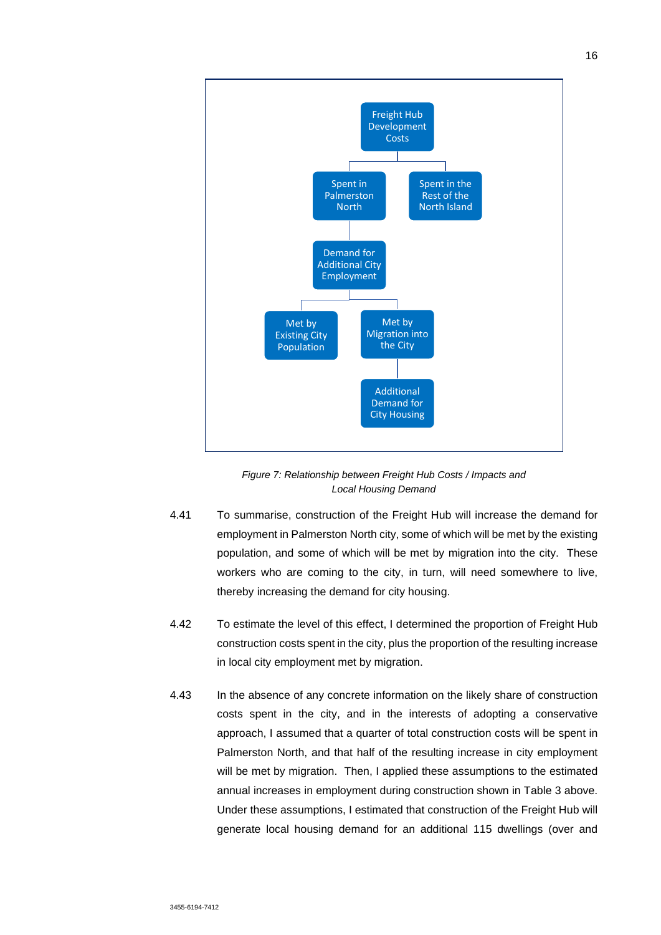

*Figure 7: Relationship between Freight Hub Costs / Impacts and Local Housing Demand* 

- 4.41 To summarise, construction of the Freight Hub will increase the demand for employment in Palmerston North city, some of which will be met by the existing population, and some of which will be met by migration into the city. These workers who are coming to the city, in turn, will need somewhere to live, thereby increasing the demand for city housing.
- 4.42 To estimate the level of this effect, I determined the proportion of Freight Hub construction costs spent in the city, plus the proportion of the resulting increase in local city employment met by migration.
- 4.43 In the absence of any concrete information on the likely share of construction costs spent in the city, and in the interests of adopting a conservative approach, I assumed that a quarter of total construction costs will be spent in Palmerston North, and that half of the resulting increase in city employment will be met by migration. Then, I applied these assumptions to the estimated annual increases in employment during construction shown in Table 3 above. Under these assumptions, I estimated that construction of the Freight Hub will generate local housing demand for an additional 115 dwellings (over and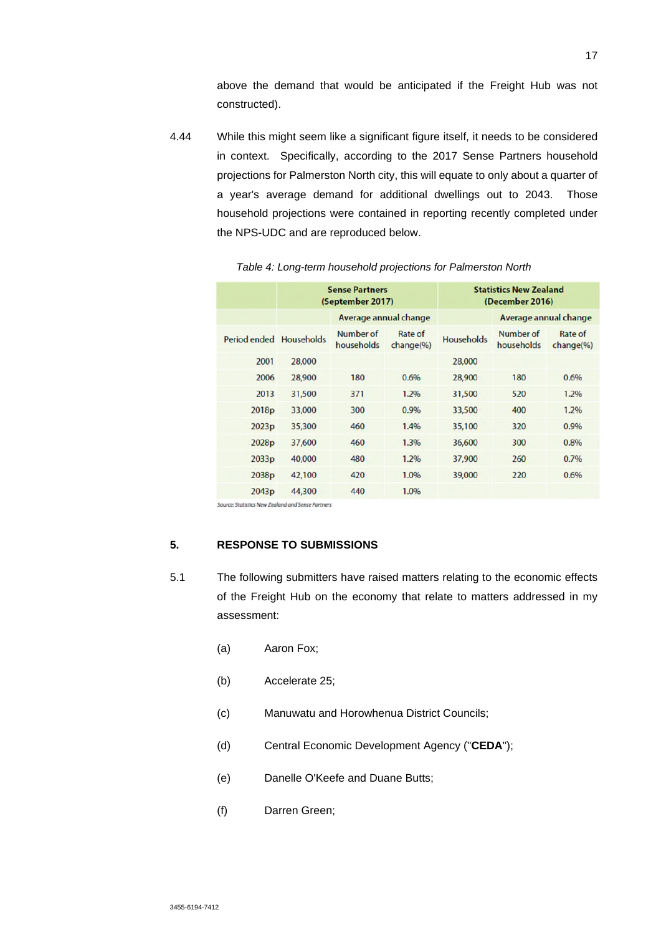above the demand that would be anticipated if the Freight Hub was not constructed).

4.44 While this might seem like a significant figure itself, it needs to be considered in context. Specifically, according to the 2017 Sense Partners household projections for Palmerston North city, this will equate to only about a quarter of a year's average demand for additional dwellings out to 2043. Those household projections were contained in reporting recently completed under the NPS-UDC and are reproduced below.

| <b>Sense Partners</b><br>(September 2017) |                         | <b>Statistics New Zealand</b><br>(December 2016) |                   |                         |                      |
|-------------------------------------------|-------------------------|--------------------------------------------------|-------------------|-------------------------|----------------------|
|                                           | Average annual change   |                                                  |                   | Average annual change   |                      |
| Period ended Households                   | Number of<br>households | Rate of<br>change(96)                            | <b>Households</b> | Number of<br>households | Rate of<br>change(%) |
| 28,000                                    |                         |                                                  | 28,000            |                         |                      |
| 28,900                                    | 180                     | 0.6%                                             | 28,900            | 180                     | 0.6%                 |
| 31,500                                    | 371                     | 1.2%                                             | 31,500            | 520                     | 1.2%                 |
| 33,000                                    | 300                     | 0.9%                                             | 33,500            | 400                     | 1.2%                 |
| 35,300                                    | 460                     | 1.4%                                             | 35,100            | 320                     | 0.9%                 |
| 37,600                                    | 460                     | 1.3%                                             | 36,600            | 300                     | 0.8%                 |
| 40,000                                    | 480                     | 1.2%                                             | 37,900            | 260                     | 0.7%                 |
| 42,100                                    | 420                     | 1.0%                                             | 39,000            | 220                     | 0.6%                 |
| 44,300                                    | 440                     | 1.0%                                             |                   |                         |                      |
|                                           |                         |                                                  |                   |                         |                      |

*Table 4: Long-term household projections for Palmerston North*

ource: Statistics New Zealand and Sense Partners

# **5. RESPONSE TO SUBMISSIONS**

- 5.1 The following submitters have raised matters relating to the economic effects of the Freight Hub on the economy that relate to matters addressed in my assessment:
	- (a) Aaron Fox;
	- (b) Accelerate 25;
	- (c) Manuwatu and Horowhenua District Councils;
	- (d) Central Economic Development Agency ("**CEDA**");
	- (e) Danelle O'Keefe and Duane Butts;
	- (f) Darren Green;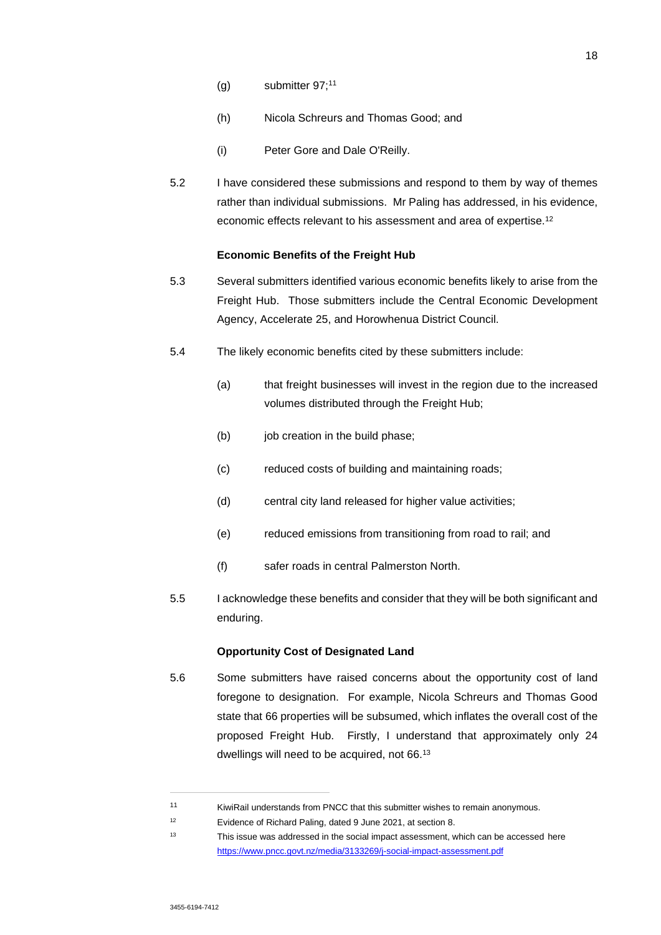- $(g)$  submitter 97;<sup>11</sup>
- (h) Nicola Schreurs and Thomas Good; and
- (i) Peter Gore and Dale O'Reilly.
- 5.2 I have considered these submissions and respond to them by way of themes rather than individual submissions. Mr Paling has addressed, in his evidence, economic effects relevant to his assessment and area of expertise.<sup>12</sup>

#### **Economic Benefits of the Freight Hub**

- 5.3 Several submitters identified various economic benefits likely to arise from the Freight Hub. Those submitters include the Central Economic Development Agency, Accelerate 25, and Horowhenua District Council.
- 5.4 The likely economic benefits cited by these submitters include:
	- (a) that freight businesses will invest in the region due to the increased volumes distributed through the Freight Hub;
	- (b) job creation in the build phase:
	- (c) reduced costs of building and maintaining roads;
	- (d) central city land released for higher value activities;
	- (e) reduced emissions from transitioning from road to rail; and
	- (f) safer roads in central Palmerston North.
- 5.5 I acknowledge these benefits and consider that they will be both significant and enduring.

#### **Opportunity Cost of Designated Land**

- 5.6 Some submitters have raised concerns about the opportunity cost of land foregone to designation. For example, Nicola Schreurs and Thomas Good state that 66 properties will be subsumed, which inflates the overall cost of the proposed Freight Hub. Firstly, I understand that approximately only 24 dwellings will need to be acquired, not 66.<sup>13</sup>
- <sup>11</sup> KiwiRail understands from PNCC that this submitter wishes to remain anonymous.

<sup>12</sup> Evidence of Richard Paling, dated 9 June 2021, at section 8.

<sup>13</sup> This issue was addressed in the social impact assessment, which can be accessed here https://www.pncc.govt.nz/media/3133269/j-social-impact-assessment.pdf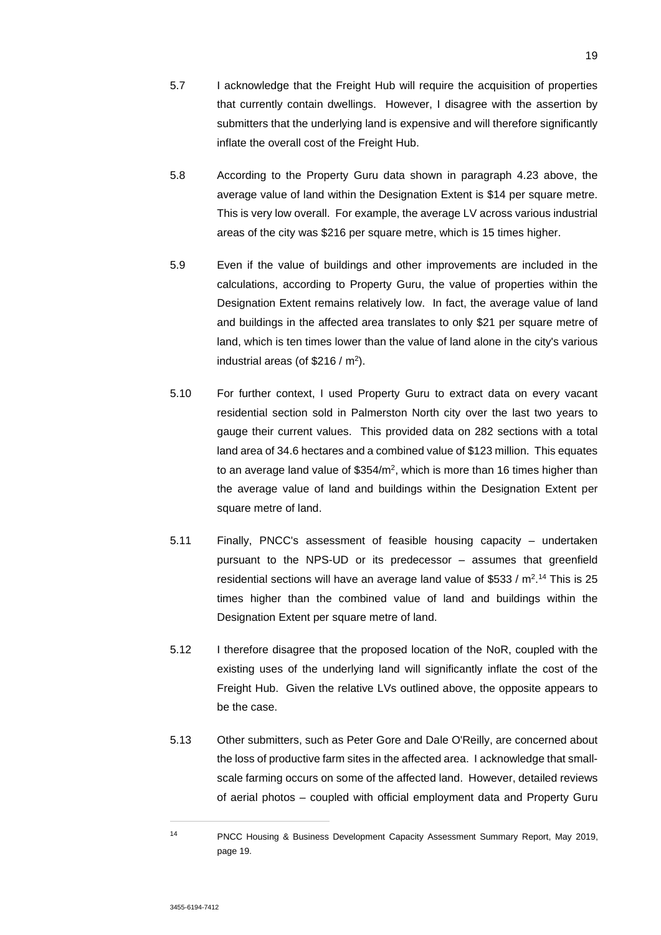- 5.7 I acknowledge that the Freight Hub will require the acquisition of properties that currently contain dwellings. However, I disagree with the assertion by submitters that the underlying land is expensive and will therefore significantly inflate the overall cost of the Freight Hub.
- 5.8 According to the Property Guru data shown in paragraph 4.23 above, the average value of land within the Designation Extent is \$14 per square metre. This is very low overall. For example, the average LV across various industrial areas of the city was \$216 per square metre, which is 15 times higher.
- 5.9 Even if the value of buildings and other improvements are included in the calculations, according to Property Guru, the value of properties within the Designation Extent remains relatively low. In fact, the average value of land and buildings in the affected area translates to only \$21 per square metre of land, which is ten times lower than the value of land alone in the city's various industrial areas (of  $$216 / m<sup>2</sup>$ ).
- 5.10 For further context, I used Property Guru to extract data on every vacant residential section sold in Palmerston North city over the last two years to gauge their current values. This provided data on 282 sections with a total land area of 34.6 hectares and a combined value of \$123 million. This equates to an average land value of \$354/m<sup>2</sup>, which is more than 16 times higher than the average value of land and buildings within the Designation Extent per square metre of land.
- 5.11 Finally, PNCC's assessment of feasible housing capacity undertaken pursuant to the NPS-UD or its predecessor – assumes that greenfield residential sections will have an average land value of \$533 / m<sup>2</sup>.<sup>14</sup> This is 25 times higher than the combined value of land and buildings within the Designation Extent per square metre of land.
- 5.12 I therefore disagree that the proposed location of the NoR, coupled with the existing uses of the underlying land will significantly inflate the cost of the Freight Hub. Given the relative LVs outlined above, the opposite appears to be the case.
- 5.13 Other submitters, such as Peter Gore and Dale O'Reilly, are concerned about the loss of productive farm sites in the affected area. I acknowledge that smallscale farming occurs on some of the affected land. However, detailed reviews of aerial photos – coupled with official employment data and Property Guru

<sup>14</sup> PNCC Housing & Business Development Capacity Assessment Summary Report, May 2019, page 19.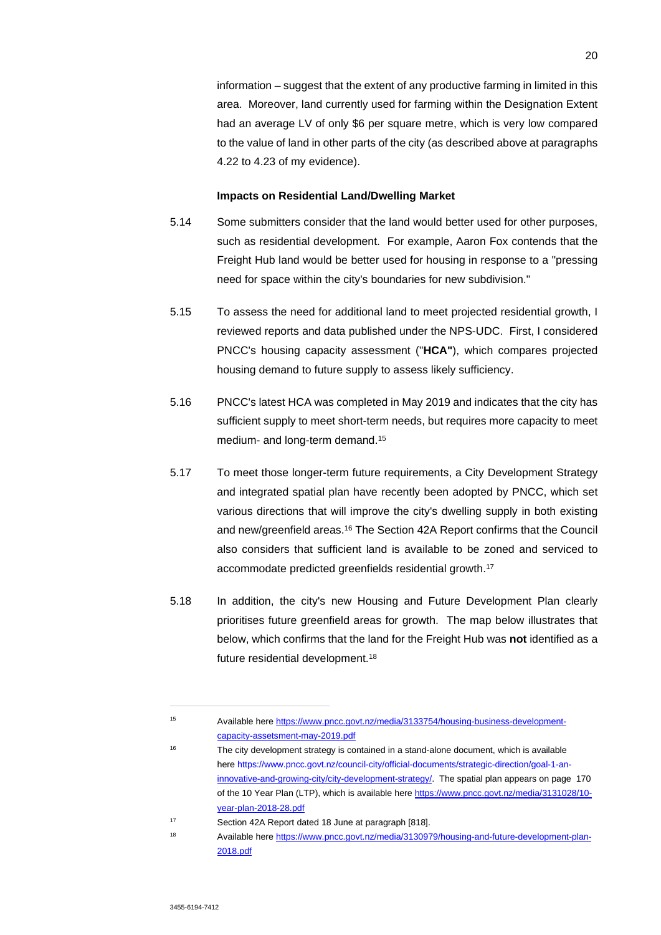information – suggest that the extent of any productive farming in limited in this area. Moreover, land currently used for farming within the Designation Extent had an average LV of only \$6 per square metre, which is very low compared to the value of land in other parts of the city (as described above at paragraphs 4.22 to 4.23 of my evidence).

#### **Impacts on Residential Land/Dwelling Market**

- 5.14 Some submitters consider that the land would better used for other purposes, such as residential development. For example, Aaron Fox contends that the Freight Hub land would be better used for housing in response to a "pressing need for space within the city's boundaries for new subdivision."
- 5.15 To assess the need for additional land to meet projected residential growth, I reviewed reports and data published under the NPS-UDC. First, I considered PNCC's housing capacity assessment ("**HCA"**), which compares projected housing demand to future supply to assess likely sufficiency.
- 5.16 PNCC's latest HCA was completed in May 2019 and indicates that the city has sufficient supply to meet short-term needs, but requires more capacity to meet medium- and long-term demand.<sup>15</sup>
- 5.17 To meet those longer-term future requirements, a City Development Strategy and integrated spatial plan have recently been adopted by PNCC, which set various directions that will improve the city's dwelling supply in both existing and new/greenfield areas.<sup>16</sup> The Section 42A Report confirms that the Council also considers that sufficient land is available to be zoned and serviced to accommodate predicted greenfields residential growth.<sup>17</sup>
- 5.18 In addition, the city's new Housing and Future Development Plan clearly prioritises future greenfield areas for growth. The map below illustrates that below, which confirms that the land for the Freight Hub was **not** identified as a future residential development.<sup>18</sup>

<sup>15</sup> Available here https://www.pncc.govt.nz/media/3133754/housing-business-developmentcapacity-assetsment-may-2019.pdf

<sup>&</sup>lt;sup>16</sup> The city development strategy is contained in a stand-alone document, which is available here https://www.pncc.govt.nz/council-city/official-documents/strategic-direction/goal-1-aninnovative-and-growing-city/city-development-strategy/. The spatial plan appears on page 170 of the 10 Year Plan (LTP), which is available here https://www.pncc.govt.nz/media/3131028/10year-plan-2018-28.pdf

<sup>17</sup> Section 42A Report dated 18 June at paragraph [818].

<sup>18</sup> Available here https://www.pncc.govt.nz/media/3130979/housing-and-future-development-plan-2018.pdf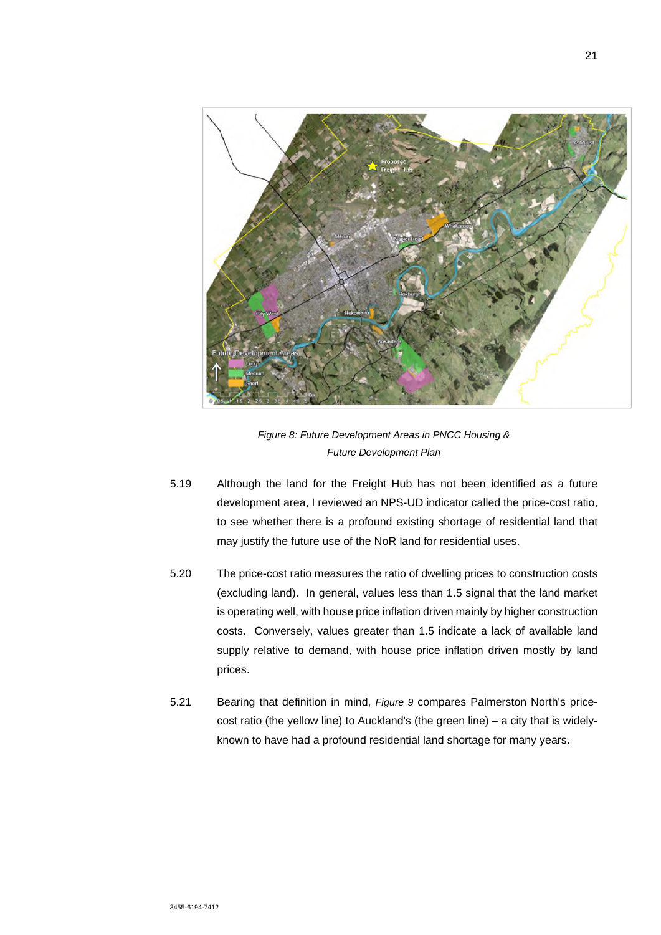

*Figure 8: Future Development Areas in PNCC Housing & Future Development Plan* 

- 5.19 Although the land for the Freight Hub has not been identified as a future development area, I reviewed an NPS-UD indicator called the price-cost ratio, to see whether there is a profound existing shortage of residential land that may justify the future use of the NoR land for residential uses.
- 5.20 The price-cost ratio measures the ratio of dwelling prices to construction costs (excluding land). In general, values less than 1.5 signal that the land market is operating well, with house price inflation driven mainly by higher construction costs. Conversely, values greater than 1.5 indicate a lack of available land supply relative to demand, with house price inflation driven mostly by land prices.
- 5.21 Bearing that definition in mind, *Figure 9* compares Palmerston North's pricecost ratio (the yellow line) to Auckland's (the green line) – a city that is widelyknown to have had a profound residential land shortage for many years.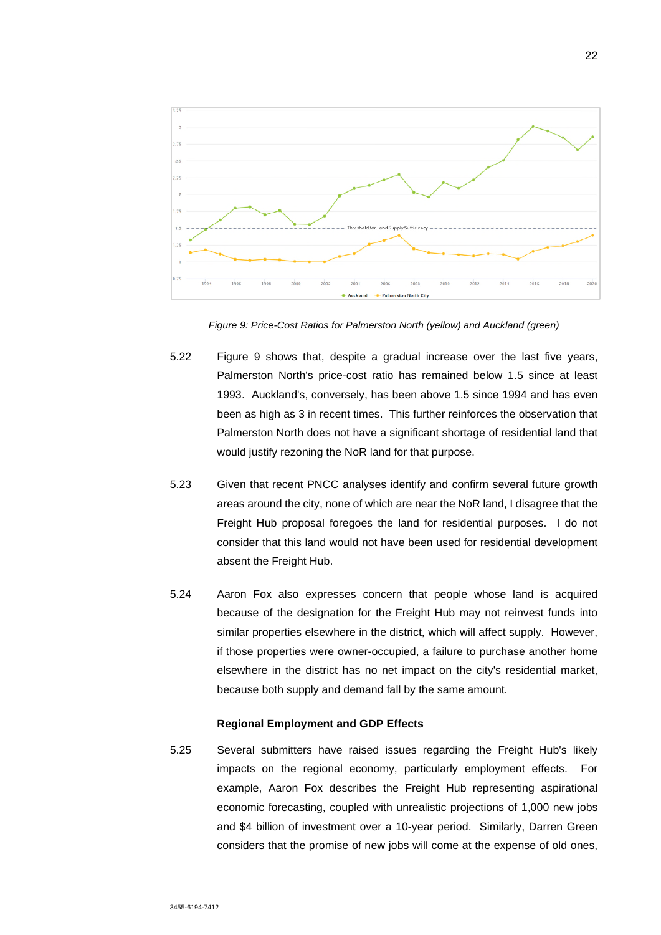

*Figure 9: Price-Cost Ratios for Palmerston North (yellow) and Auckland (green)* 

- 5.22 Figure 9 shows that, despite a gradual increase over the last five years, Palmerston North's price-cost ratio has remained below 1.5 since at least 1993. Auckland's, conversely, has been above 1.5 since 1994 and has even been as high as 3 in recent times. This further reinforces the observation that Palmerston North does not have a significant shortage of residential land that would justify rezoning the NoR land for that purpose.
- 5.23 Given that recent PNCC analyses identify and confirm several future growth areas around the city, none of which are near the NoR land, I disagree that the Freight Hub proposal foregoes the land for residential purposes. I do not consider that this land would not have been used for residential development absent the Freight Hub.
- 5.24 Aaron Fox also expresses concern that people whose land is acquired because of the designation for the Freight Hub may not reinvest funds into similar properties elsewhere in the district, which will affect supply. However, if those properties were owner-occupied, a failure to purchase another home elsewhere in the district has no net impact on the city's residential market, because both supply and demand fall by the same amount.

#### **Regional Employment and GDP Effects**

5.25 Several submitters have raised issues regarding the Freight Hub's likely impacts on the regional economy, particularly employment effects. For example. Aaron Fox describes the Freight Hub representing aspirational economic forecasting, coupled with unrealistic projections of 1,000 new jobs and \$4 billion of investment over a 10-year period. Similarly, Darren Green considers that the promise of new jobs will come at the expense of old ones,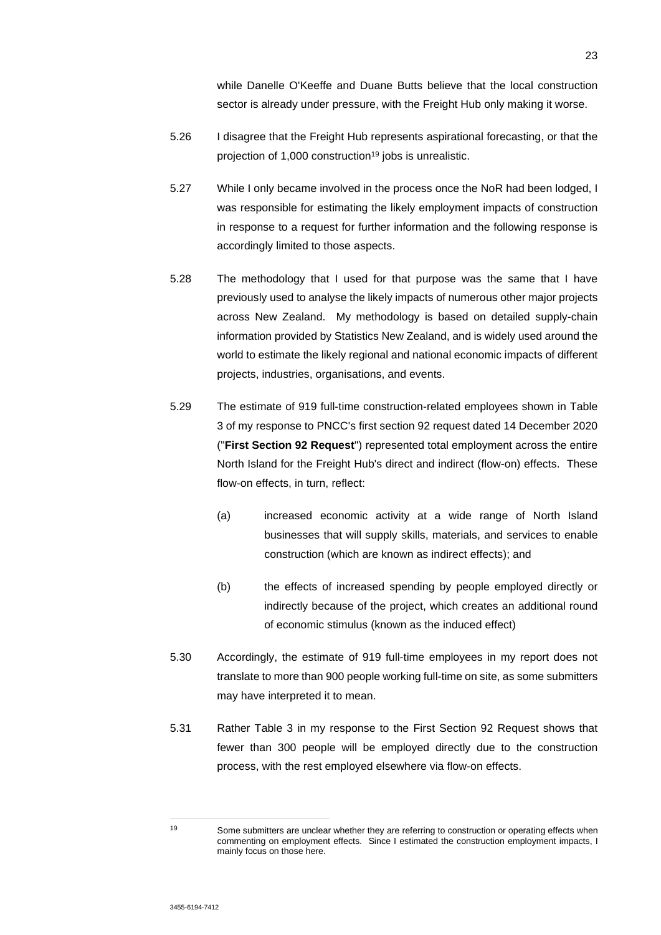while Danelle O'Keeffe and Duane Butts believe that the local construction sector is already under pressure, with the Freight Hub only making it worse.

- 5.26 I disagree that the Freight Hub represents aspirational forecasting, or that the projection of 1,000 construction<sup>19</sup> jobs is unrealistic.
- 5.27 While I only became involved in the process once the NoR had been lodged, I was responsible for estimating the likely employment impacts of construction in response to a request for further information and the following response is accordingly limited to those aspects.
- 5.28 The methodology that I used for that purpose was the same that I have previously used to analyse the likely impacts of numerous other major projects across New Zealand. My methodology is based on detailed supply-chain information provided by Statistics New Zealand, and is widely used around the world to estimate the likely regional and national economic impacts of different projects, industries, organisations, and events.
- 5.29 The estimate of 919 full-time construction-related employees shown in Table 3 of my response to PNCC's first section 92 request dated 14 December 2020 ("**First Section 92 Request**") represented total employment across the entire North Island for the Freight Hub's direct and indirect (flow-on) effects. These flow-on effects, in turn, reflect:
	- (a) increased economic activity at a wide range of North Island businesses that will supply skills, materials, and services to enable construction (which are known as indirect effects); and
	- (b) the effects of increased spending by people employed directly or indirectly because of the project, which creates an additional round of economic stimulus (known as the induced effect)
- 5.30 Accordingly, the estimate of 919 full-time employees in my report does not translate to more than 900 people working full-time on site, as some submitters may have interpreted it to mean.
- 5.31 Rather Table 3 in my response to the First Section 92 Request shows that fewer than 300 people will be employed directly due to the construction process, with the rest employed elsewhere via flow-on effects.

<sup>19</sup> Some submitters are unclear whether they are referring to construction or operating effects when commenting on employment effects. Since I estimated the construction employment impacts, I mainly focus on those here.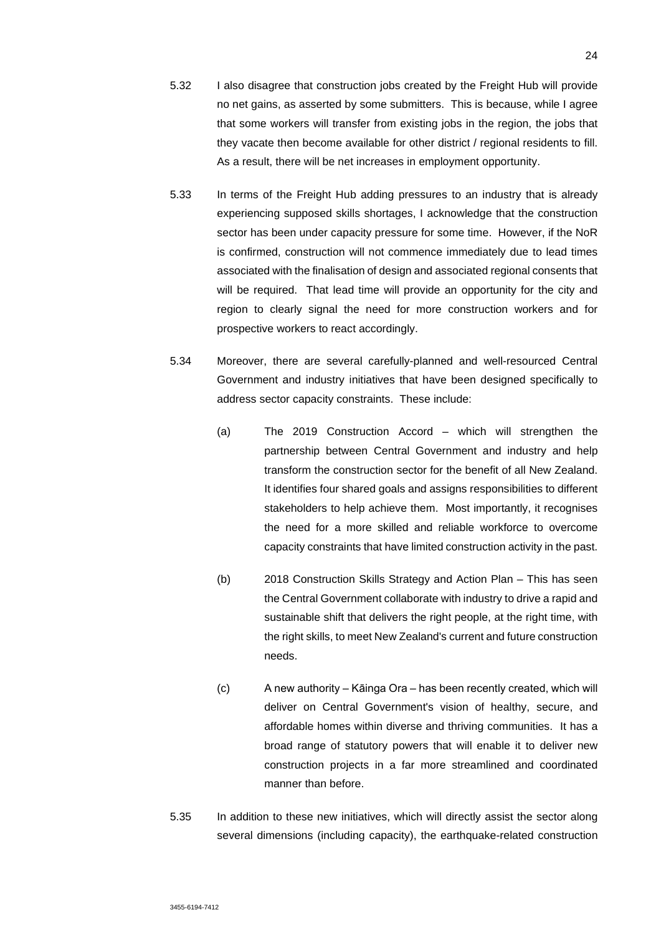- 5.32 I also disagree that construction jobs created by the Freight Hub will provide no net gains, as asserted by some submitters. This is because, while I agree that some workers will transfer from existing jobs in the region, the jobs that they vacate then become available for other district / regional residents to fill. As a result, there will be net increases in employment opportunity.
- 5.33 In terms of the Freight Hub adding pressures to an industry that is already experiencing supposed skills shortages, I acknowledge that the construction sector has been under capacity pressure for some time. However, if the NoR is confirmed, construction will not commence immediately due to lead times associated with the finalisation of design and associated regional consents that will be required. That lead time will provide an opportunity for the city and region to clearly signal the need for more construction workers and for prospective workers to react accordingly.
- 5.34 Moreover, there are several carefully-planned and well-resourced Central Government and industry initiatives that have been designed specifically to address sector capacity constraints. These include:
	- (a) The 2019 Construction Accord which will strengthen the partnership between Central Government and industry and help transform the construction sector for the benefit of all New Zealand. It identifies four shared goals and assigns responsibilities to different stakeholders to help achieve them. Most importantly, it recognises the need for a more skilled and reliable workforce to overcome capacity constraints that have limited construction activity in the past.
	- (b) 2018 Construction Skills Strategy and Action Plan This has seen the Central Government collaborate with industry to drive a rapid and sustainable shift that delivers the right people, at the right time, with the right skills, to meet New Zealand's current and future construction needs.
	- (c) A new authority Kāinga Ora has been recently created, which will deliver on Central Government's vision of healthy, secure, and affordable homes within diverse and thriving communities. It has a broad range of statutory powers that will enable it to deliver new construction projects in a far more streamlined and coordinated manner than before.
- 5.35 In addition to these new initiatives, which will directly assist the sector along several dimensions (including capacity), the earthquake-related construction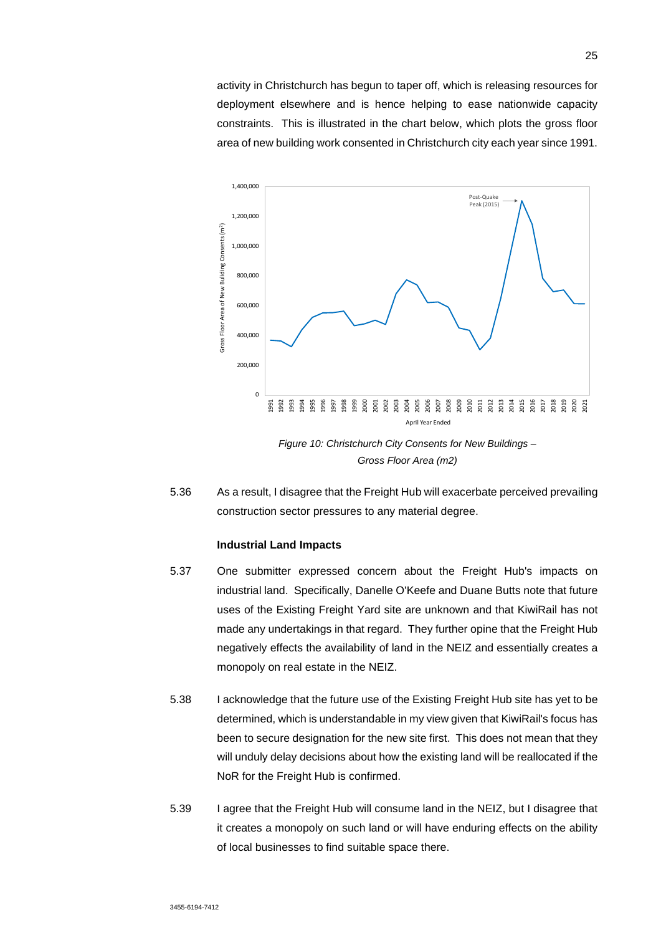activity in Christchurch has begun to taper off, which is releasing resources for deployment elsewhere and is hence helping to ease nationwide capacity constraints. This is illustrated in the chart below, which plots the gross floor area of new building work consented in Christchurch city each year since 1991.



5.36 As a result, I disagree that the Freight Hub will exacerbate perceived prevailing construction sector pressures to any material degree.

#### **Industrial Land Impacts**

- 5.37 One submitter expressed concern about the Freight Hub's impacts on industrial land. Specifically, Danelle O'Keefe and Duane Butts note that future uses of the Existing Freight Yard site are unknown and that KiwiRail has not made any undertakings in that regard. They further opine that the Freight Hub negatively effects the availability of land in the NEIZ and essentially creates a monopoly on real estate in the NEIZ.
- 5.38 I acknowledge that the future use of the Existing Freight Hub site has yet to be determined, which is understandable in my view given that KiwiRail's focus has been to secure designation for the new site first. This does not mean that they will unduly delay decisions about how the existing land will be reallocated if the NoR for the Freight Hub is confirmed.
- 5.39 I agree that the Freight Hub will consume land in the NEIZ, but I disagree that it creates a monopoly on such land or will have enduring effects on the ability of local businesses to find suitable space there.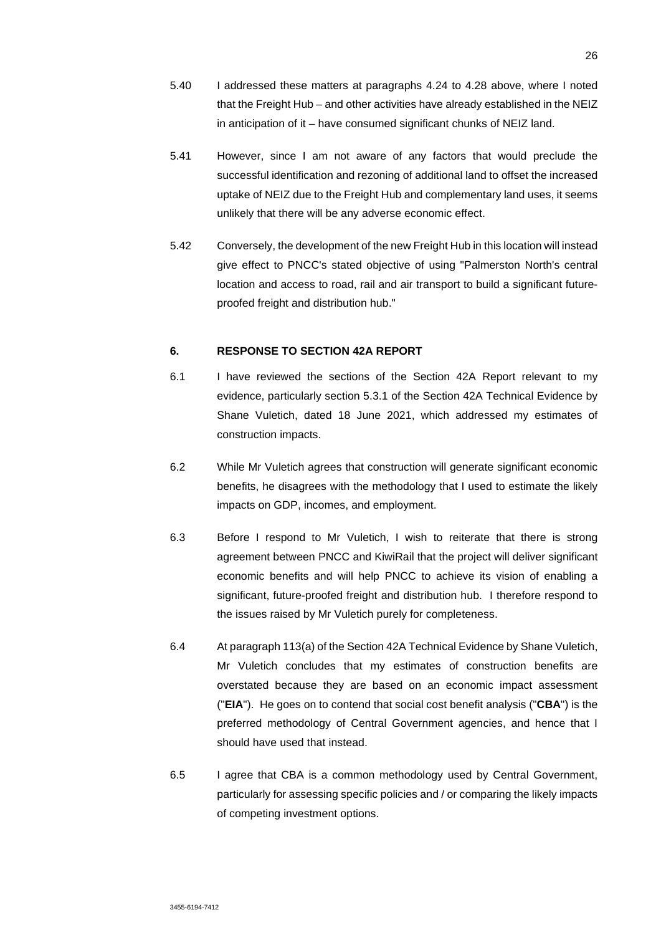- 5.40 I addressed these matters at paragraphs 4.24 to 4.28 above, where I noted that the Freight Hub – and other activities have already established in the NEIZ in anticipation of it – have consumed significant chunks of NEIZ land.
- 5.41 However, since I am not aware of any factors that would preclude the successful identification and rezoning of additional land to offset the increased uptake of NEIZ due to the Freight Hub and complementary land uses, it seems unlikely that there will be any adverse economic effect.
- 5.42 Conversely, the development of the new Freight Hub in this location will instead give effect to PNCC's stated objective of using "Palmerston North's central location and access to road, rail and air transport to build a significant futureproofed freight and distribution hub."

# **6. RESPONSE TO SECTION 42A REPORT**

- 6.1 I have reviewed the sections of the Section 42A Report relevant to my evidence, particularly section 5.3.1 of the Section 42A Technical Evidence by Shane Vuletich, dated 18 June 2021, which addressed my estimates of construction impacts.
- 6.2 While Mr Vuletich agrees that construction will generate significant economic benefits, he disagrees with the methodology that I used to estimate the likely impacts on GDP, incomes, and employment.
- 6.3 Before I respond to Mr Vuletich, I wish to reiterate that there is strong agreement between PNCC and KiwiRail that the project will deliver significant economic benefits and will help PNCC to achieve its vision of enabling a significant, future-proofed freight and distribution hub. I therefore respond to the issues raised by Mr Vuletich purely for completeness.
- 6.4 At paragraph 113(a) of the Section 42A Technical Evidence by Shane Vuletich, Mr Vuletich concludes that my estimates of construction benefits are overstated because they are based on an economic impact assessment ("**EIA**"). He goes on to contend that social cost benefit analysis ("**CBA**") is the preferred methodology of Central Government agencies, and hence that I should have used that instead.
- 6.5 I agree that CBA is a common methodology used by Central Government, particularly for assessing specific policies and / or comparing the likely impacts of competing investment options.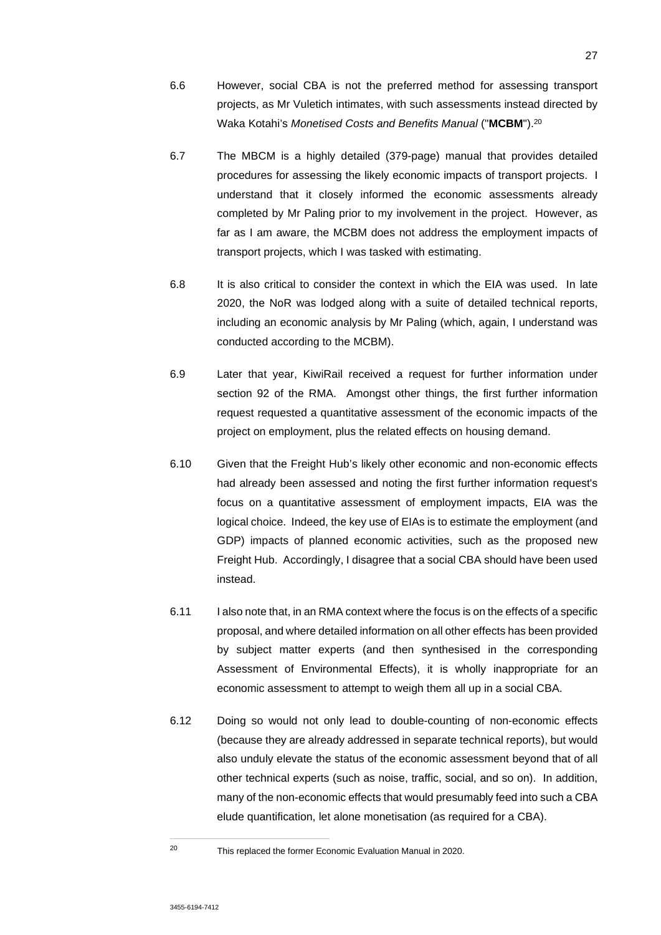- 6.6 However, social CBA is not the preferred method for assessing transport projects, as Mr Vuletich intimates, with such assessments instead directed by Waka Kotahi's *Monetised Costs and Benefits Manual* ("**MCBM**").<sup>20</sup>
- 6.7 The MBCM is a highly detailed (379-page) manual that provides detailed procedures for assessing the likely economic impacts of transport projects. I understand that it closely informed the economic assessments already completed by Mr Paling prior to my involvement in the project. However, as far as I am aware, the MCBM does not address the employment impacts of transport projects, which I was tasked with estimating.
- 6.8 It is also critical to consider the context in which the EIA was used. In late 2020, the NoR was lodged along with a suite of detailed technical reports, including an economic analysis by Mr Paling (which, again, I understand was conducted according to the MCBM).
- 6.9 Later that year, KiwiRail received a request for further information under section 92 of the RMA. Amongst other things, the first further information request requested a quantitative assessment of the economic impacts of the project on employment, plus the related effects on housing demand.
- 6.10 Given that the Freight Hub's likely other economic and non-economic effects had already been assessed and noting the first further information request's focus on a quantitative assessment of employment impacts, EIA was the logical choice. Indeed, the key use of EIAs is to estimate the employment (and GDP) impacts of planned economic activities, such as the proposed new Freight Hub. Accordingly, I disagree that a social CBA should have been used instead.
- 6.11 I also note that, in an RMA context where the focus is on the effects of a specific proposal, and where detailed information on all other effects has been provided by subject matter experts (and then synthesised in the corresponding Assessment of Environmental Effects), it is wholly inappropriate for an economic assessment to attempt to weigh them all up in a social CBA.
- 6.12 Doing so would not only lead to double-counting of non-economic effects (because they are already addressed in separate technical reports), but would also unduly elevate the status of the economic assessment beyond that of all other technical experts (such as noise, traffic, social, and so on). In addition, many of the non-economic effects that would presumably feed into such a CBA elude quantification, let alone monetisation (as required for a CBA).

<sup>20</sup> This replaced the former Economic Evaluation Manual in 2020.